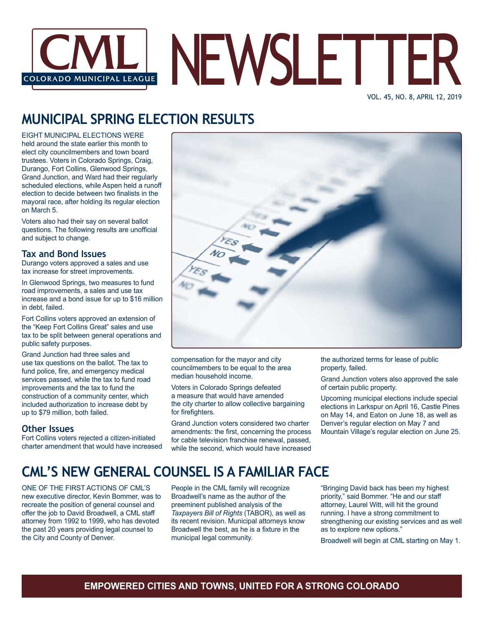

#### VOL. 45, NO. 8, APRIL 12, 2019

# **MUNICIPAL SPRING ELECTION RESULTS**

EIGHT MUNICIPAL ELECTIONS WERE held around the state earlier this month to elect city councilmembers and town board trustees. Voters in Colorado Springs, Craig, Durango, Fort Collins, Glenwood Springs, Grand Junction, and Ward had their regularly scheduled elections, while Aspen held a runoff election to decide between two finalists in the mayoral race, after holding its regular election on March 5.

Voters also had their say on several ballot questions. The following results are unofficial and subject to change.

#### **Tax and Bond Issues**

Durango voters approved a sales and use tax increase for street improvements.

In Glenwood Springs, two measures to fund road improvements, a sales and use tax increase and a bond issue for up to \$16 million in debt, failed.

Fort Collins voters approved an extension of the "Keep Fort Collins Great" sales and use tax to be split between general operations and public safety purposes.

Grand Junction had three sales and use tax questions on the ballot. The tax to fund police, fire, and emergency medical services passed, while the tax to fund road improvements and the tax to fund the construction of a community center, which included authorization to increase debt by up to \$79 million, both failed.

#### **Other Issues**

Fort Collins voters rejected a citizen-initiated charter amendment that would have increased



compensation for the mayor and city councilmembers to be equal to the area median household income.

Voters in Colorado Springs defeated a measure that would have amended the city charter to allow collective bargaining for firefighters.

Grand Junction voters considered two charter amendments: the first, concerning the process for cable television franchise renewal, passed, while the second, which would have increased

the authorized terms for lease of public property, failed.

Grand Junction voters also approved the sale of certain public property.

Upcoming municipal elections include special elections in Larkspur on April 16, Castle Pines on May 14, and Eaton on June 18, as well as Denver's regular election on May 7 and Mountain Village's regular election on June 25.

### **CML'S NEW GENERAL COUNSEL IS A FAMILIAR FACE**

ONE OF THE FIRST ACTIONS OF CML'S new executive director, Kevin Bommer, was to recreate the position of general counsel and offer the job to David Broadwell, a CML staff attorney from 1992 to 1999, who has devoted the past 20 years providing legal counsel to the City and County of Denver.

People in the CML family will recognize Broadwell's name as the author of the preeminent published analysis of the *Taxpayers Bill of Rights* (TABOR), as well as its recent revision. Municipal attorneys know Broadwell the best, as he is a fixture in the municipal legal community.

"Bringing David back has been my highest priority," said Bommer. "He and our staff attorney, Laurel Witt, will hit the ground running. I have a strong commitment to strengthening our existing services and as well as to explore new options."

Broadwell will begin at CML starting on May 1.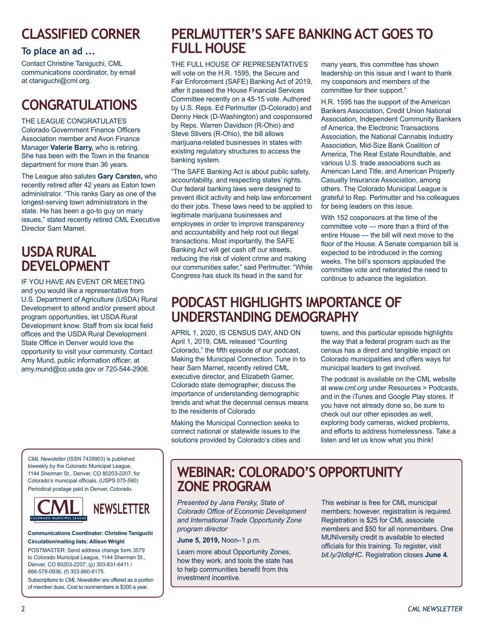# **CLASSIFIED CORNER**

### **To place an ad ...**

Contact Christine Taniguchi, CML communications coordinator, by email at ctaniguchi@cml.org.

# **CONGRATULATIONS**

THE LEAGUE CONGRATULATES Colorado Government Finance Officers Association member and Avon Finance Manager **Valerie Barry,** who is retiring. She has been with the Town in the finance department for more than 36 years.

The League also salutes **Gary Carsten,** who recently retired after 42 years as Eaton town administrator. "This ranks Gary as one of the longest-serving town administrators in the state. He has been a go-to guy on many issues," stated recently retired CML Executive Director Sam Mamet.

### **USDA RURAL DEVELOPMENT**

IF YOU HAVE AN EVENT OR MEETING and you would like a representative from U.S. Department of Agriculture (USDA) Rural Development to attend and/or present about program opportunities, let USDA Rural Development know. Staff from six local field offices and the USDA Rural Development State Office in Denver would love the opportunity to visit your community. Contact Amy Mund, public information officer, at amy.mund@co.usda.gov or 720-544-2906.

*CML Newsletter* (ISSN 7439903) is published biweekly by the Colorado Municipal League, 1144 Sherman St., Denver, CO 80203-2207, for Colorado's municipal officials. (USPS 075-590) Periodical postage paid in Denver, Colorado.



# **NEWSLETTER**

#### **Communications Coordinator: Christine Taniguchi Circulation/mailing lists: Allison Wright**

POSTMASTER: Send address change form 3579 to Colorado Municipal League, 1144 Sherman St., Denver, CO 80203-2207; (p) 303-831-6411 / 866-578-0936; (f) 303-860-8175.

Subscriptions to *CML Newsletter* are offered as a portion of member dues. Cost to nonmembers is \$300 a year.

### **PERLMUTTER'S SAFE BANKING ACT GOES TO FULL HOUSE**

THE FULL HOUSE OF REPRESENTATIVES will vote on the H.R. 1595, the Secure and Fair Enforcement (SAFE) Banking Act of 2019, after it passed the House Financial Services Committee recently on a 45-15 vote. Authored by U.S. Reps. Ed Perlmutter (D-Colorado) and Denny Heck (D-Washington) and cosponsored by Reps. Warren Davidson (R-Ohio) and Steve Stivers (R-Ohio), the bill allows marijuana-related businesses in states with existing regulatory structures to access the banking system.

"The SAFE Banking Act is about public safety, accountability, and respecting states' rights. Our federal banking laws were designed to prevent illicit activity and help law enforcement do their jobs. These laws need to be applied to legitimate marijuana businesses and employees in order to improve transparency and accountability and help root out illegal transactions. Most importantly, the SAFE Banking Act will get cash off our streets, reducing the risk of violent crime and making our communities safer," said Perlmutter. "While Congress has stuck its head in the sand for

many years, this committee has shown leadership on this issue and I want to thank my cosponsors and members of the committee for their support."

H.R. 1595 has the support of the American Bankers Association, Credit Union National Association, Independent Community Bankers of America, the Electronic Transactions Association, the National Cannabis Industry Association, Mid-Size Bank Coalition of America, The Real Estate Roundtable, and various U.S. trade associations such as American Land Title, and American Property Casualty Insurance Association, among others. The Colorado Municipal League is grateful to Rep. Perlmutter and his colleagues for being leaders on this issue.

With 152 cosponsors at the time of the committee vote — more than a third of the entire House — the bill will next move to the floor of the House. A Senate companion bill is expected to be introduced in the coming weeks. The bill's sponsors applauded the committee vote and reiterated the need to continue to advance the legislation.

### **PODCAST HIGHLIGHTS IMPORTANCE OF UNDERSTANDING DEMOGRAPHY**

APRIL 1, 2020, IS CENSUS DAY, AND ON April 1, 2019, CML released "Counting Colorado," the fifth episode of our podcast, Making the Municipal Connection. Tune in to hear Sam Mamet, recently retired CML executive director, and Elizabeth Garner, Colorado state demographer, discuss the importance of understanding demographic trends and what the decennial census means to the residents of Colorado.

Making the Municipal Connection seeks to connect national or statewide issues to the solutions provided by Colorado's cities and towns, and this particular episode highlights the way that a federal program such as the census has a direct and tangible impact on Colorado municipalities and offers ways for municipal leaders to get involved.

The podcast is available on the CML website at *www.cml.org* under Resources > Podcasts, and in the iTunes and Google Play stores. If you have not already done so, be sure to check out our other episodes as well, exploring body cameras, wicked problems, and efforts to address homelessness. Take a listen and let us know what you think!

### **WEBINAR: COLORADO'S OPPORTUNITY ZONE PROGRAM**

*Presented by Jana Persky, State of Colorado Office of Economic Development and International Trade Opportunity Zone program director*

**June 5, 2019,** Noon–1 p.m.

Learn more about Opportunity Zones, how they work, and tools the state has to help communities benefit from this investment incentive.

This webinar is free for CML municipal members; however, registration is required. Registration is \$25 for CML associate members and \$50 for all nonmembers. One MUNIversity credit is available to elected officials for this training. To register, visit *bit.ly/2IdlqHC*. Registration closes **June 4.**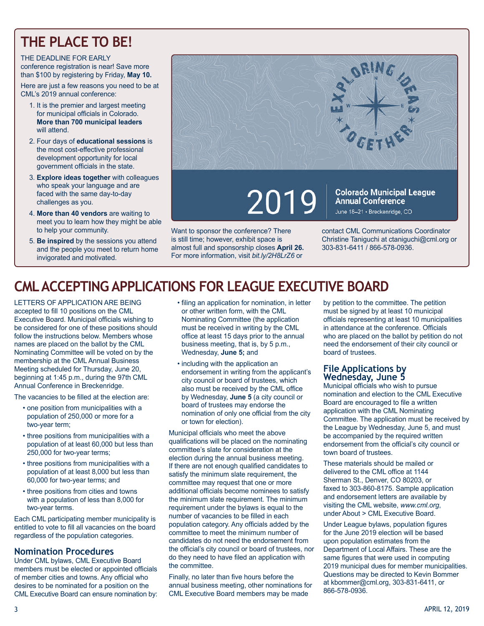# **THE PLACE TO BE!**

#### THE DEADLINE FOR EARLY conference registration is near! Save more than \$100 by registering by Friday, **May 10.**

Here are just a few reasons you need to be at CML's 2019 annual conference:

- 1. It is the premier and largest meeting for municipal officials in Colorado. **More than 700 municipal leaders** will attend.
- 2. Four days of **educational sessions** is the most cost-effective professional development opportunity for local government officials in the state.
- 3. **Explore ideas together** with colleagues who speak your language and are faced with the same day-to-day challenges as you.
- 4. **More than 40 vendors** are waiting to meet you to learn how they might be able to help your community.
- 5. **Be inspired** by the sessions you attend and the people you meet to return home invigorated and motivated.



Want to sponsor the conference? There is still time; however, exhibit space is almost full and sponsorship closes **April 26.**  For more information, visit *bit.ly/2H8LrZ6* or contact CML Communications Coordinator Christine Taniguchi at ctaniguchi@cml.org or 303-831-6411 / 866-578-0936.

# **CML ACCEPTING APPLICATIONS FOR LEAGUE EXECUTIVE BOARD**

LETTERS OF APPLICATION ARE BEING accepted to fill 10 positions on the CML Executive Board. Municipal officials wishing to be considered for one of these positions should follow the instructions below. Members whose names are placed on the ballot by the CML Nominating Committee will be voted on by the membership at the CML Annual Business Meeting scheduled for Thursday, June 20, beginning at 1:45 p.m., during the 97th CML Annual Conference in Breckenridge.

The vacancies to be filled at the election are:

- one position from municipalities with a population of 250,000 or more for a two-year term;
- three positions from municipalities with a population of at least 60,000 but less than 250,000 for two-year terms;
- three positions from municipalities with a population of at least 8,000 but less than 60,000 for two-year terms; and
- three positions from cities and towns with a population of less than 8,000 for two-year terms.

Each CML participating member municipality is entitled to vote to fill all vacancies on the board regardless of the population categories.

### **Nomination Procedures**

Under CML bylaws, CML Executive Board members must be elected or appointed officials of member cities and towns. Any official who desires to be nominated for a position on the CML Executive Board can ensure nomination by:

- filing an application for nomination, in letter or other written form, with the CML Nominating Committee (the application must be received in writing by the CML office at least 15 days prior to the annual business meeting, that is, by 5 p.m., Wednesday, **June 5;** and
- including with the application an endorsement in writing from the applicant's city council or board of trustees, which also must be received by the CML office by Wednesday, **June 5** (a city council or board of trustees may endorse the nomination of only one official from the city or town for election).

Municipal officials who meet the above qualifications will be placed on the nominating committee's slate for consideration at the election during the annual business meeting. If there are not enough qualified candidates to satisfy the minimum slate requirement, the committee may request that one or more additional officials become nominees to satisfy the minimum slate requirement. The minimum requirement under the bylaws is equal to the number of vacancies to be filled in each population category. Any officials added by the committee to meet the minimum number of candidates do not need the endorsement from the official's city council or board of trustees, nor do they need to have filed an application with the committee.

Finally, no later than five hours before the annual business meeting, other nominations for CML Executive Board members may be made

by petition to the committee. The petition must be signed by at least 10 municipal officials representing at least 10 municipalities in attendance at the conference. Officials who are placed on the ballot by petition do not need the endorsement of their city council or board of trustees.

#### **File Applications by Wednesday, June 5**

Municipal officials who wish to pursue nomination and election to the CML Executive Board are encouraged to file a written application with the CML Nominating Committee. The application must be received by the League by Wednesday, June 5, and must be accompanied by the required written endorsement from the official's city council or town board of trustees.

These materials should be mailed or delivered to the CML office at 1144 Sherman St., Denver, CO 80203, or faxed to 303-860-8175. Sample application and endorsement letters are available by visiting the CML website, *www.cml.org*, under About > CML Executive Board.

Under League bylaws, population figures for the June 2019 election will be based upon population estimates from the Department of Local Affairs. These are the same figures that were used in computing 2019 municipal dues for member municipalities. Questions may be directed to Kevin Bommer at kbommer@cml.org, 303-831-6411, or 866-578-0936.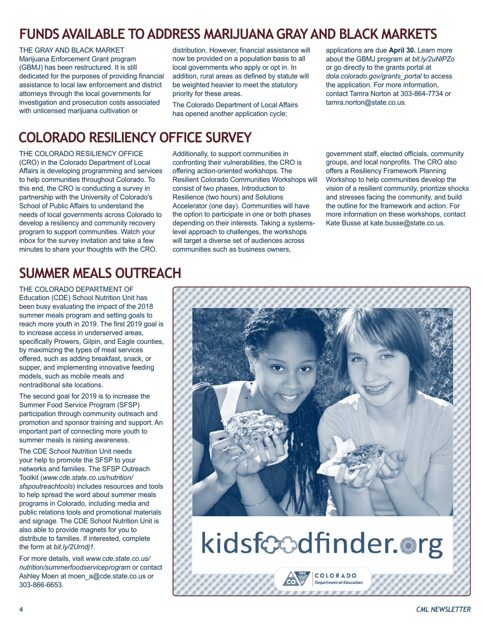# **FUNDS AVAILABLE TO ADDRESS MARIJUANA GRAY AND BLACK MARKETS**

THE GRAY AND BLACK MARKET Marijuana Enforcement Grant program (GBMJ) has been restructured. It is still dedicated for the purposes of providing financial assistance to local law enforcement and district attorneys through the local governments for investigation and prosecution costs associated with unlicensed marijuana cultivation or

distribution. However, financial assistance will now be provided on a population basis to all local governments who apply or opt in. In addition, rural areas as defined by statute will be weighted heavier to meet the statutory priority for these areas.

The Colorado Department of Local Affairs has opened another application cycle;

applications are due **April 30.** Learn more about the GBMJ program at *bit.ly/2uNlPZo* or go directly to the grants portal at *dola.colorado.gov/grants\_portal* to access the application. For more information, contact Tamra Norton at 303-864-7734 or tamra.norton@state.co.us.

### **COLORADO RESILIENCY OFFICE SURVEY**

THE COLORADO RESILIENCY OFFICE (CRO) in the Colorado Department of Local Affairs is developing programming and services to help communities throughout Colorado. To this end, the CRO is conducting a survey in partnership with the University of Colorado's School of Public Affairs to understand the needs of local governments across Colorado to develop a resiliency and community recovery program to support communities. Watch your inbox for the survey invitation and take a few minutes to share your thoughts with the CRO.

Additionally, to support communities in confronting their vulnerabilities, the CRO is offering action-oriented workshops. The Resilient Colorado Communities Workshops will consist of two phases, Introduction to Resilience (two hours) and Solutions Accelerator (one day). Communities will have the option to participate in one or both phases depending on their interests. Taking a systemslevel approach to challenges, the workshops will target a diverse set of audiences across communities such as business owners,

government staff, elected officials, community groups, and local nonprofits. The CRO also offers a Resiliency Framework Planning Workshop to help communities develop the vision of a resilient community, prioritize shocks and stresses facing the community, and build the outline for the framework and action. For more information on these workshops, contact Kate Busse at kate.busse@state.co.us.

# **SUMMER MEALS OUTREACH**

THE COLORADO DEPARTMENT OF Education (CDE) School Nutrition Unit has been busy evaluating the impact of the 2018 summer meals program and setting goals to reach more youth in 2019. The first 2019 goal is to increase access in underserved areas, specifically Prowers, Gilpin, and Eagle counties, by maximizing the types of meal services offered, such as adding breakfast, snack, or supper, and implementing innovative feeding models, such as mobile meals and nontraditional site locations.

The second goal for 2019 is to increase the Summer Food Service Program (SFSP) participation through community outreach and promotion and sponsor training and support. An important part of connecting more youth to summer meals is raising awareness.

The CDE School Nutrition Unit needs your help to promote the SFSP to your networks and families. The SFSP Outreach Toolkit (*www.cde.state.co.us/nutrition/ sfspoutreachtools*) includes resources and tools to help spread the word about summer meals programs in Colorado, including media and public relations tools and promotional materials and signage. The CDE School Nutrition Unit is also able to provide magnets for you to distribute to families. If interested, complete the form at *bit.ly/2Urndj1*.

For more details, visit *www.cde.state.co.us/ nutrition/summerfoodserviceprogram* or contact Ashley Moen at moen a@cde.state.co.us or 303-866-6653.



# kidsfoodfinder.org

COLORADO **Department of Educati** 

#### 4 *CML NEWSLETTER*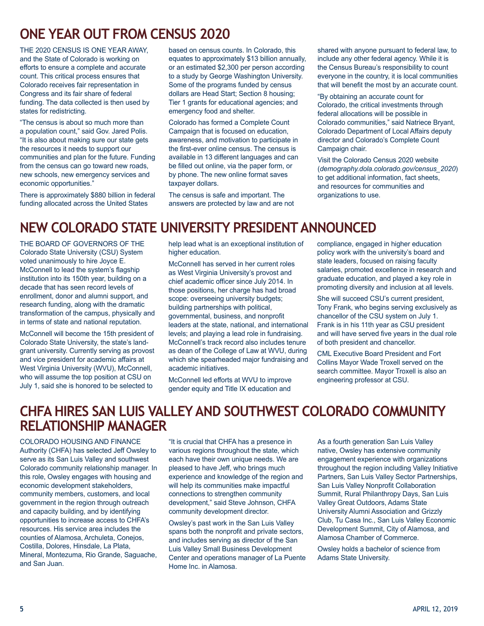### **ONE YEAR OUT FROM CENSUS 2020**

THE 2020 CENSUS IS ONE YEAR AWAY, and the State of Colorado is working on efforts to ensure a complete and accurate count. This critical process ensures that Colorado receives fair representation in Congress and its fair share of federal funding. The data collected is then used by states for redistricting.

"The census is about so much more than a population count," said Gov. Jared Polis. "It is also about making sure our state gets the resources it needs to support our communities and plan for the future. Funding from the census can go toward new roads, new schools, new emergency services and economic opportunities."

There is approximately \$880 billion in federal funding allocated across the United States

based on census counts. In Colorado, this equates to approximately \$13 billion annually, or an estimated \$2,300 per person according to a study by George Washington University. Some of the programs funded by census dollars are Head Start; Section 8 housing; Tier 1 grants for educational agencies; and emergency food and shelter.

Colorado has formed a Complete Count Campaign that is focused on education, awareness, and motivation to participate in the first-ever online census. The census is available in 13 different languages and can be filled out online, via the paper form, or by phone. The new online format saves taxpayer dollars.

The census is safe and important. The answers are protected by law and are not shared with anyone pursuant to federal law, to include any other federal agency. While it is the Census Bureau's responsibility to count everyone in the country, it is local communities that will benefit the most by an accurate count.

"By obtaining an accurate count for Colorado, the critical investments through federal allocations will be possible in Colorado communities," said Natriece Bryant, Colorado Department of Local Affairs deputy director and Colorado's Complete Count Campaign chair.

Visit the Colorado Census 2020 website (*demography.dola.colorado.gov/census\_2020*) to get additional information, fact sheets, and resources for communities and organizations to use.

### **NEW COLORADO STATE UNIVERSITY PRESIDENT ANNOUNCED**

THE BOARD OF GOVERNORS OF THE Colorado State University (CSU) System voted unanimously to hire Joyce E. McConnell to lead the system's flagship institution into its 150th year, building on a decade that has seen record levels of enrollment, donor and alumni support, and research funding, along with the dramatic transformation of the campus, physically and in terms of state and national reputation.

McConnell will become the 15th president of Colorado State University, the state's landgrant university. Currently serving as provost and vice president for academic affairs at West Virginia University (WVU), McConnell, who will assume the top position at CSU on July 1, said she is honored to be selected to

help lead what is an exceptional institution of higher education.

McConnell has served in her current roles as West Virginia University's provost and chief academic officer since July 2014. In those positions, her charge has had broad scope: overseeing university budgets; building partnerships with political, governmental, business, and nonprofit leaders at the state, national, and international levels; and playing a lead role in fundraising. McConnell's track record also includes tenure as dean of the College of Law at WVU, during which she spearheaded major fundraising and academic initiatives.

McConnell led efforts at WVU to improve gender equity and Title IX education and

compliance, engaged in higher education policy work with the university's board and state leaders, focused on raising faculty salaries, promoted excellence in research and graduate education, and played a key role in promoting diversity and inclusion at all levels.

She will succeed CSU's current president, Tony Frank, who begins serving exclusively as chancellor of the CSU system on July 1. Frank is in his 11th year as CSU president and will have served five years in the dual role of both president and chancellor.

CML Executive Board President and Fort Collins Mayor Wade Troxell served on the search committee. Mayor Troxell is also an engineering professor at CSU.

### **CHFA HIRES SAN LUIS VALLEY AND SOUTHWEST COLORADO COMMUNITY RELATIONSHIP MANAGER**

COLORADO HOUSING AND FINANCE Authority (CHFA) has selected Jeff Owsley to serve as its San Luis Valley and southwest Colorado community relationship manager. In this role, Owsley engages with housing and economic development stakeholders, community members, customers, and local government in the region through outreach and capacity building, and by identifying opportunities to increase access to CHFA's resources. His service area includes the counties of Alamosa, Archuleta, Conejos, Costilla, Dolores, Hinsdale, La Plata, Mineral, Montezuma, Rio Grande, Saguache, and San Juan.

"It is crucial that CHFA has a presence in various regions throughout the state, which each have their own unique needs. We are pleased to have Jeff, who brings much experience and knowledge of the region and will help its communities make impactful connections to strengthen community development," said Steve Johnson, CHFA community development director.

Owsley's past work in the San Luis Valley spans both the nonprofit and private sectors, and includes serving as director of the San Luis Valley Small Business Development Center and operations manager of La Puente Home Inc. in Alamosa.

As a fourth generation San Luis Valley native, Owsley has extensive community engagement experience with organizations throughout the region including Valley Initiative Partners, San Luis Valley Sector Partnerships, San Luis Valley Nonprofit Collaboration Summit, Rural Philanthropy Days, San Luis Valley Great Outdoors, Adams State University Alumni Association and Grizzly Club, Tu Casa Inc., San Luis Valley Economic Development Summit, City of Alamosa, and Alamosa Chamber of Commerce.

Owsley holds a bachelor of science from Adams State University.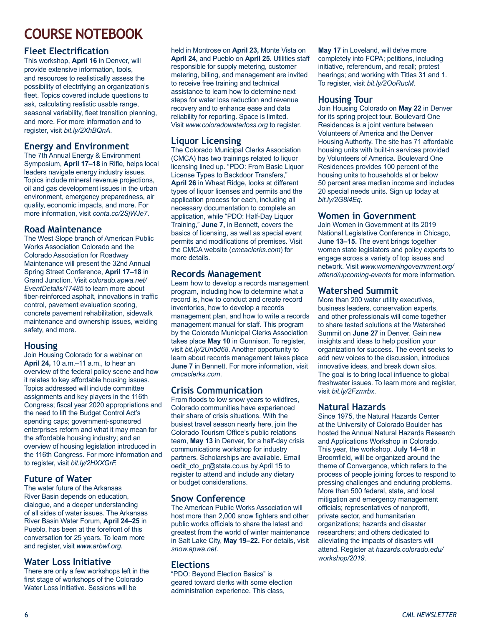# **COURSE NOTEBOOK**

### **Fleet Electrification**

This workshop, **April 16** in Denver, will provide extensive information, tools, and resources to realistically assess the possibility of electrifying an organization's fleet. Topics covered include questions to ask, calculating realistic usable range, seasonal variability, fleet transition planning, and more. For more information and to register, visit *bit.ly/2XhBQnA*.

### **Energy and Environment**

The 7th Annual Energy & Environment Symposium, **April 17–18** in Rifle, helps local leaders navigate energy industry issues. Topics include mineral revenue projections, oil and gas development issues in the urban environment, emergency preparedness, air quality, economic impacts, and more. For more information, visit *conta.cc/2SjWJe7*.

### **Road Maintenance**

The West Slope branch of American Public Works Association Colorado and the Colorado Association for Roadway Maintenance will present the 32nd Annual Spring Street Conference, **April 17–18** in Grand Junction. Visit *colorado.apwa.net/ EventDetails/17485* to learn more about fiber-reinforced asphalt, innovations in traffic control, pavement evaluation scoring, concrete pavement rehabilitation, sidewalk maintenance and ownership issues, welding safety, and more.

### **Housing**

Join Housing Colorado for a webinar on **April 24,** 10 a.m.–11 a.m., to hear an overview of the federal policy scene and how it relates to key affordable housing issues. Topics addressed will include committee assignments and key players in the 116th Congress; fiscal year 2020 appropriations and the need to lift the Budget Control Act's spending caps; government-sponsored enterprises reform and what it may mean for the affordable housing industry; and an overview of housing legislation introduced in the 116th Congress. For more information and to register, visit *bit.ly/2HXXGrF.*

### **Future of Water**

The water future of the Arkansas River Basin depends on education, dialogue, and a deeper understanding of all sides of water issues. The Arkansas River Basin Water Forum, **April 24–25** in Pueblo, has been at the forefront of this conversation for 25 years. To learn more and register, visit *www.arbwf.org*.

### **Water Loss Initiative**

There are only a few workshops left in the first stage of workshops of the Colorado Water Loss Initiative. Sessions will be

held in Montrose on **April 23,** Monte Vista on **April 24,** and Pueblo on **April 25.** Utilities staff responsible for supply metering, customer metering, billing, and management are invited to receive free training and technical assistance to learn how to determine next steps for water loss reduction and revenue recovery and to enhance ease and data reliability for reporting. Space is limited. Visit *www.coloradowaterloss.org* to register.

### **Liquor Licensing**

The Colorado Municipal Clerks Association (CMCA) has two trainings related to liquor licensing lined up. "PDO: From Basic Liquor License Types to Backdoor Transfers," **April 26** in Wheat Ridge, looks at different types of liquor licenses and permits and the application process for each, including all necessary documentation to complete an application, while "PDO: Half-Day Liquor Training," **June 7,** in Bennett, covers the basics of licensing, as well as special event permits and modifications of premises. Visit the CMCA website (*cmcaclerks.com*) for more details.

### **Records Management**

Learn how to develop a records management program, including how to determine what a record is, how to conduct and create record inventories, how to develop a records management plan, and how to write a records management manual for staff. This program by the Colorado Municipal Clerks Association takes place **May 10** in Gunnison. To register, visit *bit.ly/2Un5d68*. Another opportunity to learn about records management takes place **June 7** in Bennett. For more information, visit *cmcaclerks.com*.

### **Crisis Communication**

From floods to low snow years to wildfires, Colorado communities have experienced their share of crisis situations. With the busiest travel season nearly here, join the Colorado Tourism Office's public relations team, **May 13** in Denver, for a half-day crisis communications workshop for industry partners. Scholarships are available. Email oedit\_cto\_pr@state.co.us by April 15 to register to attend and include any dietary or budget considerations.

### **Snow Conference**

The American Public Works Association will host more than 2,000 snow fighters and other public works officials to share the latest and greatest from the world of winter maintenance in Salt Lake City, **May 19–22.** For details, visit *snow.apwa.net*.

### **Elections**

"PDO: Beyond Election Basics" is geared toward clerks with some election administration experience. This class,

**May 17** in Loveland, will delve more completely into FCPA; petitions, including initiative, referendum, and recall; protest hearings; and working with Titles 31 and 1. To register, visit *bit.ly/2OoRucM*.

### **Housing Tour**

Join Housing Colorado on **May 22** in Denver for its spring project tour. Boulevard One Residences is a joint venture between Volunteers of America and the Denver Housing Authority. The site has 71 affordable housing units with built-in services provided by Volunteers of America. Boulevard One Residences provides 100 percent of the housing units to households at or below 50 percent area median income and includes 20 special needs units. Sign up today at *bit.ly/2G8i4Eq.*

### **Women in Government**

Join Women in Government at its 2019 National Legislative Conference in Chicago, **June 13–15.** The event brings together women state legislators and policy experts to engage across a variety of top issues and network. Visit *www.womeningovernment.org/ attend/upcoming-events* for more information.

#### **Watershed Summit**

More than 200 water utility executives, business leaders, conservation experts, and other professionals will come together to share tested solutions at the Watershed Summit on **June 27** in Denver. Gain new insights and ideas to help position your organization for success. The event seeks to add new voices to the discussion, introduce innovative ideas, and break down silos. The goal is to bring local influence to global freshwater issues. To learn more and register, visit *bit.ly/2Fzmrbx*.

#### **Natural Hazards**

Since 1975, the Natural Hazards Center at the University of Colorado Boulder has hosted the Annual Natural Hazards Research and Applications Workshop in Colorado. This year, the workshop, **July 14–18** in Broomfield, will be organized around the theme of Convergence, which refers to the process of people joining forces to respond to pressing challenges and enduring problems. More than 500 federal, state, and local mitigation and emergency management officials; representatives of nonprofit, private sector, and humanitarian organizations; hazards and disaster researchers; and others dedicated to alleviating the impacts of disasters will attend. Register at *hazards.colorado.edu/ workshop/2019.*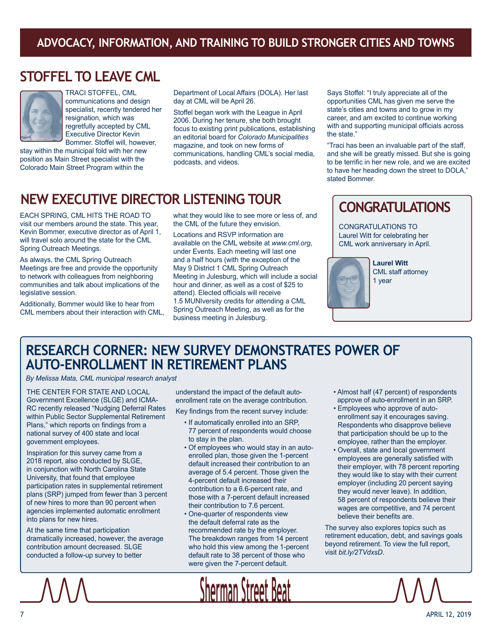### **ADVOCACY, INFORMATION, AND TRAINING TO BUILD STRONGER CITIES AND TOWNS**

### **STOFFEL TO LEAVE CML**



TRACI STOFFEL, CML communications and design specialist, recently tendered her resignation, which was regretfully accepted by CML Executive Director Kevin Bommer. Stoffel will, however,

stay within the municipal fold with her new position as Main Street specialist with the Colorado Main Street Program within the

Department of Local Affairs (DOLA). Her last day at CML will be April 26.

Stoffel began work with the League in April 2006. During her tenure, she both brought focus to existing print publications, establishing an editorial board for *Colorado Municipalities*  magazine, and took on new forms of communications, handling CML's social media, podcasts, and videos.

### **NEW EXECUTIVE DIRECTOR LISTENING TOUR**

EACH SPRING, CML HITS THE ROAD TO visit our members around the state. This year, Kevin Bommer, executive director as of April 1, will travel solo around the state for the CML Spring Outreach Meetings.

As always, the CML Spring Outreach Meetings are free and provide the opportunity to network with colleagues from neighboring communities and talk about implications of the legislative session.

Additionally, Bommer would like to hear from CML members about their interaction with CML, what they would like to see more or less of, and the CML of the future they envision.

Locations and RSVP information are available on the CML website at *www.cml.org*, under Events. Each meeting will last one and a half hours (with the exception of the May 9 District 1 CML Spring Outreach Meeting in Julesburg, which will include a social hour and dinner, as well as a cost of \$25 to attend). Elected officials will receive 1.5 MUNIversity credits for attending a CML Spring Outreach Meeting, as well as for the business meeting in Julesburg.

Says Stoffel: "I truly appreciate all of the opportunities CML has given me serve the state's cities and towns and to grow in my career, and am excited to continue working with and supporting municipal officials across the state."

"Traci has been an invaluable part of the staff, and she will be greatly missed. But she is going to be terrific in her new role, and we are excited to have her heading down the street to DOLA," stated Bommer.

### **CONGRATULATIONS**

CONGRATULATIONS TO Laurel Witt for celebrating her CML work anniversary in April.



**Laurel Witt** CML staff attorney 1 year

### **RESEARCH CORNER: NEW SURVEY DEMONSTRATES POWER OF AUTO-ENROLLMENT IN RETIREMENT PLANS**

*By Melissa Mata, CML municipal research analyst*

THE CENTER FOR STATE AND LOCAL Government Excellence (SLGE) and ICMA-RC recently released "Nudging Deferral Rates within Public Sector Supplemental Retirement Plans," which reports on findings from a national survey of 400 state and local government employees.

Inspiration for this survey came from a 2018 report, also conducted by SLGE, in conjunction with North Carolina State University, that found that employee participation rates in supplemental retirement plans (SRP) jumped from fewer than 3 percent of new hires to more than 90 percent when agencies implemented automatic enrollment into plans for new hires.

At the same time that participation dramatically increased, however, the average contribution amount decreased. SLGE conducted a follow-up survey to better

understand the impact of the default autoenrollment rate on the average contribution.

Key findings from the recent survey include:

- If automatically enrolled into an SRP, 77 percent of respondents would choose to stay in the plan.
- Of employees who would stay in an autoenrolled plan, those given the 1-percent default increased their contribution to an average of 5.4 percent. Those given the 4-percent default increased their contribution to a 6.6-percent rate, and those with a 7-percent default increased their contribution to 7.6 percent.
- One-quarter of respondents view the default deferral rate as the recommended rate by the employer. The breakdown ranges from 14 percent who hold this view among the 1-percent default rate to 38 percent of those who were given the 7-percent default.

**Sherman Street** 

- Almost half (47 percent) of respondents approve of auto-enrollment in an SRP.
- Employees who approve of autoenrollment say it encourages saving. Respondents who disapprove believe that participation should be up to the employee, rather than the employer.
- Overall, state and local government employees are generally satisfied with their employer, with 78 percent reporting they would like to stay with their current employer (including 20 percent saying they would never leave). In addition, 58 percent of respondents believe their wages are competitive, and 74 percent believe their benefits are.

The survey also explores topics such as retirement education, debt, and savings goals beyond retirement. To view the full report, visit *bit.ly/2TVdxsD*.